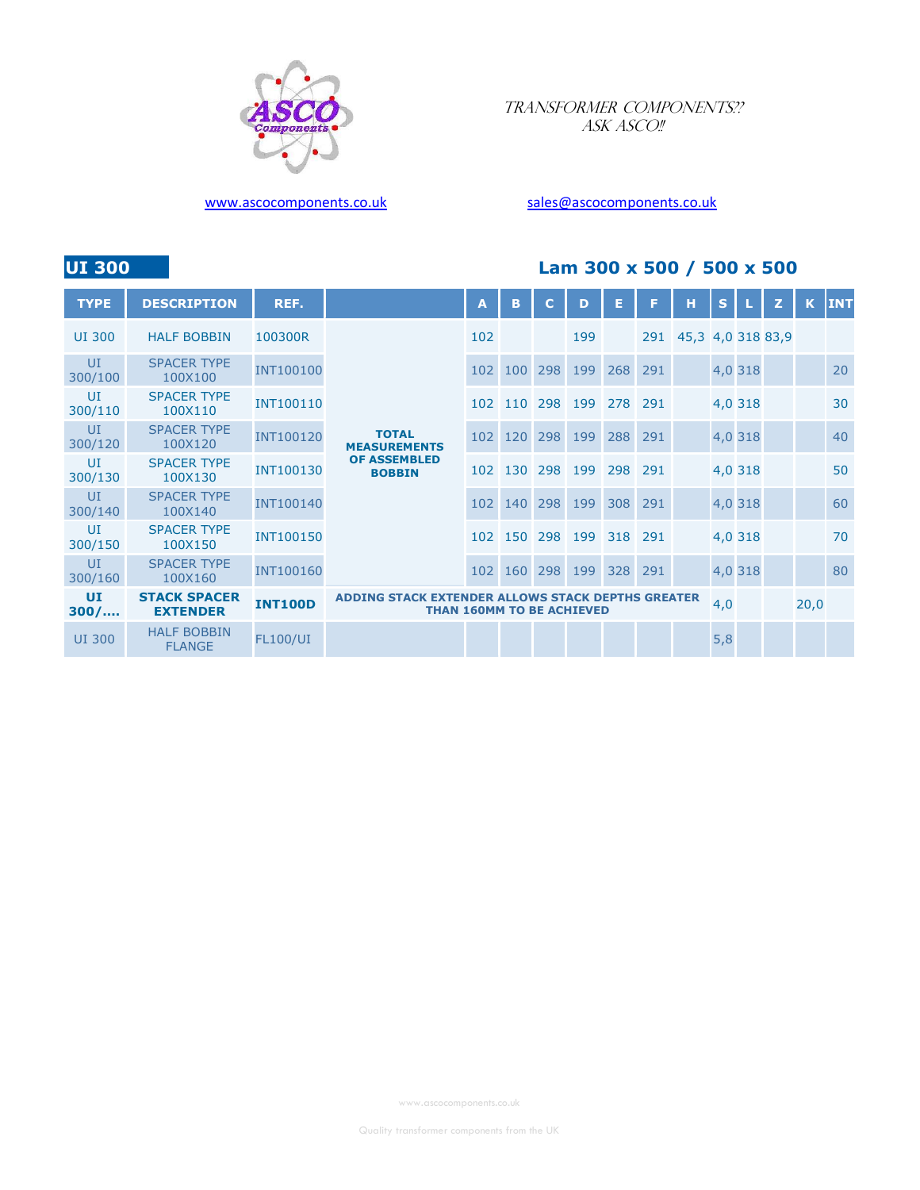

## TRANSFORMER COMPONENTS?? ASK ASCO!!

## www.ascocomponents.co.uk sales@ascocomponents.co.uk

# UI 300 Lam 300 x 500 / 500 x 500

| <b>TYPE</b>   | <b>DESCRIPTION</b>                     | REF.             |                                                                                       | A   | B       | C   | D   | Е   |     | н                     | S,  |         | z    | K | <b>INT</b> |
|---------------|----------------------------------------|------------------|---------------------------------------------------------------------------------------|-----|---------|-----|-----|-----|-----|-----------------------|-----|---------|------|---|------------|
| <b>UI 300</b> | <b>HALF BOBBIN</b>                     | 100300R          |                                                                                       | 102 |         |     | 199 |     |     | 291 45,3 4,0 318 83,9 |     |         |      |   |            |
| UI<br>300/100 | <b>SPACER TYPE</b><br>100X100          | <b>INT100100</b> |                                                                                       | 102 | 100     | 298 | 199 | 268 | 291 |                       |     | 4,0 318 |      |   | 20         |
| UI<br>300/110 | <b>SPACER TYPE</b><br>100X110          | <b>INT100110</b> |                                                                                       |     | 102 110 | 298 | 199 | 278 | 291 |                       |     | 4,0 318 |      |   | 30         |
| U<br>300/120  | <b>SPACER TYPE</b><br>100X120          | <b>INT100120</b> | <b>TOTAL</b><br><b>MEASUREMENTS</b>                                                   | 102 | 120     | 298 | 199 | 288 | 291 |                       |     | 4,0 318 |      |   | 40         |
| UI<br>300/130 | <b>SPACER TYPE</b><br>100X130          | <b>INT100130</b> | <b>OF ASSEMBLED</b><br><b>BOBBIN</b>                                                  |     | 102 130 | 298 | 199 | 298 | 291 |                       |     | 4,0 318 |      |   | 50         |
| U<br>300/140  | <b>SPACER TYPE</b><br>100X140          | <b>INT100140</b> |                                                                                       |     | 102 140 | 298 | 199 | 308 | 291 |                       |     | 4,0 318 |      |   | 60         |
| UI<br>300/150 | <b>SPACER TYPE</b><br>100X150          | <b>INT100150</b> |                                                                                       |     | 102 150 | 298 | 199 | 318 | 291 |                       |     | 4,0 318 |      |   | 70         |
| UI<br>300/160 | <b>SPACER TYPE</b><br>100X160          | <b>INT100160</b> |                                                                                       | 102 | 160     | 298 | 199 | 328 | 291 |                       |     | 4,0 318 |      |   | 80         |
| UI<br>300/    | <b>STACK SPACER</b><br><b>EXTENDER</b> | <b>INT100D</b>   | ADDING STACK EXTENDER ALLOWS STACK DEPTHS GREATER<br><b>THAN 160MM TO BE ACHIEVED</b> |     |         |     |     |     |     | 4,0                   |     |         | 20,0 |   |            |
| <b>UI 300</b> | <b>HALF BOBBIN</b><br><b>FLANGE</b>    | <b>FL100/UI</b>  |                                                                                       |     |         |     |     |     |     |                       | 5,8 |         |      |   |            |

www.ascocomponents.co.uk